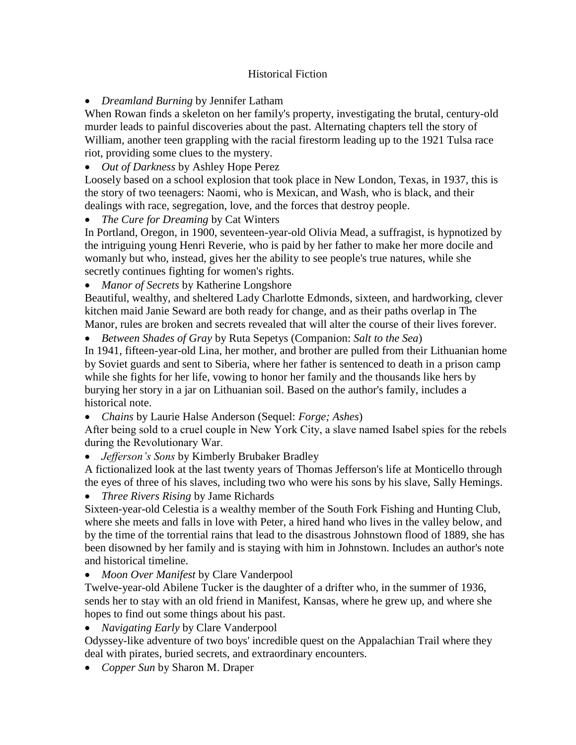## Historical Fiction

*Dreamland Burning* by Jennifer Latham

When Rowan finds a skeleton on her family's property, investigating the brutal, century-old murder leads to painful discoveries about the past. Alternating chapters tell the story of William, another teen grappling with the racial firestorm leading up to the 1921 Tulsa race riot, providing some clues to the mystery.

*Out of Darkness* by Ashley Hope Perez

Loosely based on a school explosion that took place in New London, Texas, in 1937, this is the story of two teenagers: Naomi, who is Mexican, and Wash, who is black, and their dealings with race, segregation, love, and the forces that destroy people.

*The Cure for Dreaming* by Cat Winters

In Portland, Oregon, in 1900, seventeen-year-old Olivia Mead, a suffragist, is hypnotized by the intriguing young Henri Reverie, who is paid by her father to make her more docile and womanly but who, instead, gives her the ability to see people's true natures, while she secretly continues fighting for women's rights.

*Manor of Secrets* by Katherine Longshore

Beautiful, wealthy, and sheltered Lady Charlotte Edmonds, sixteen, and hardworking, clever kitchen maid Janie Seward are both ready for change, and as their paths overlap in The Manor, rules are broken and secrets revealed that will alter the course of their lives forever.

*Between Shades of Gray* by Ruta Sepetys (Companion: *Salt to the Sea*)

In 1941, fifteen-year-old Lina, her mother, and brother are pulled from their Lithuanian home by Soviet guards and sent to Siberia, where her father is sentenced to death in a prison camp while she fights for her life, vowing to honor her family and the thousands like hers by burying her story in a jar on Lithuanian soil. Based on the author's family, includes a historical note.

*Chains* by Laurie Halse Anderson (Sequel: *Forge; Ashes*)

After being sold to a cruel couple in New York City, a slave named Isabel spies for the rebels during the Revolutionary War.

*Jefferson's Sons* by Kimberly Brubaker Bradley

A fictionalized look at the last twenty years of Thomas Jefferson's life at Monticello through the eyes of three of his slaves, including two who were his sons by his slave, Sally Hemings.

*Three Rivers Rising* by Jame Richards

Sixteen-year-old Celestia is a wealthy member of the South Fork Fishing and Hunting Club, where she meets and falls in love with Peter, a hired hand who lives in the valley below, and by the time of the torrential rains that lead to the disastrous Johnstown flood of 1889, she has been disowned by her family and is staying with him in Johnstown. Includes an author's note and historical timeline.

*Moon Over Manifest* by Clare Vanderpool

Twelve-year-old Abilene Tucker is the daughter of a drifter who, in the summer of 1936, sends her to stay with an old friend in Manifest, Kansas, where he grew up, and where she hopes to find out some things about his past.

*Navigating Early* by Clare Vanderpool

Odyssey-like adventure of two boys' incredible quest on the Appalachian Trail where they deal with pirates, buried secrets, and extraordinary encounters.

*Copper Sun* by Sharon M. Draper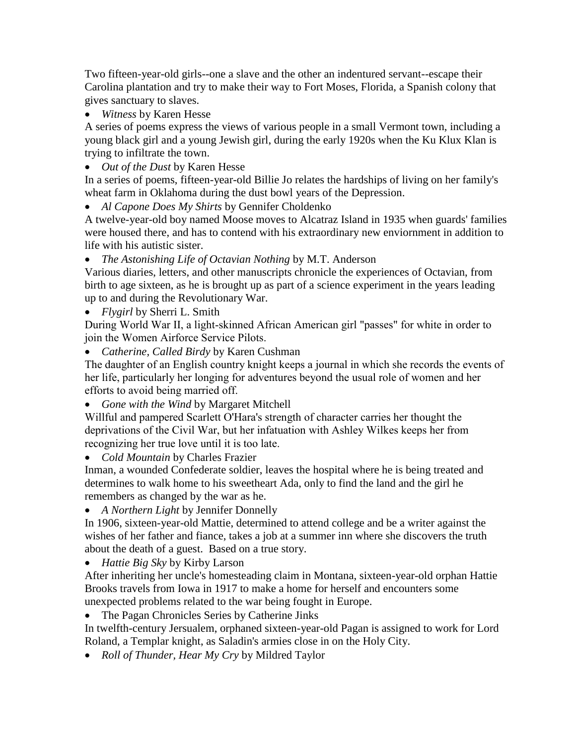Two fifteen-year-old girls--one a slave and the other an indentured servant--escape their Carolina plantation and try to make their way to Fort Moses, Florida, a Spanish colony that gives sanctuary to slaves.

*Witness* by Karen Hesse

A series of poems express the views of various people in a small Vermont town, including a young black girl and a young Jewish girl, during the early 1920s when the Ku Klux Klan is trying to infiltrate the town.

*Out of the Dust* by Karen Hesse

In a series of poems, fifteen-year-old Billie Jo relates the hardships of living on her family's wheat farm in Oklahoma during the dust bowl years of the Depression.

*Al Capone Does My Shirts* by Gennifer Choldenko

A twelve-year-old boy named Moose moves to Alcatraz Island in 1935 when guards' families were housed there, and has to contend with his extraordinary new enviornment in addition to life with his autistic sister.

*The Astonishing Life of Octavian Nothing* by M.T. Anderson

Various diaries, letters, and other manuscripts chronicle the experiences of Octavian, from birth to age sixteen, as he is brought up as part of a science experiment in the years leading up to and during the Revolutionary War.

*Flygirl* by Sherri L. Smith

During World War II, a light-skinned African American girl "passes" for white in order to join the Women Airforce Service Pilots.

*Catherine, Called Birdy* by Karen Cushman

The daughter of an English country knight keeps a journal in which she records the events of her life, particularly her longing for adventures beyond the usual role of women and her efforts to avoid being married off.

*Gone with the Wind* by Margaret Mitchell

Willful and pampered Scarlett O'Hara's strength of character carries her thought the deprivations of the Civil War, but her infatuation with Ashley Wilkes keeps her from recognizing her true love until it is too late.

*Cold Mountain* by Charles Frazier

Inman, a wounded Confederate soldier, leaves the hospital where he is being treated and determines to walk home to his sweetheart Ada, only to find the land and the girl he remembers as changed by the war as he.

*A Northern Light* by Jennifer Donnelly

In 1906, sixteen-year-old Mattie, determined to attend college and be a writer against the wishes of her father and fiance, takes a job at a summer inn where she discovers the truth about the death of a guest. Based on a true story.

*Hattie Big Sky* by Kirby Larson

After inheriting her uncle's homesteading claim in Montana, sixteen-year-old orphan Hattie Brooks travels from Iowa in 1917 to make a home for herself and encounters some unexpected problems related to the war being fought in Europe.

The Pagan Chronicles Series by Catherine Jinks

In twelfth-century Jersualem, orphaned sixteen-year-old Pagan is assigned to work for Lord Roland, a Templar knight, as Saladin's armies close in on the Holy City.

*Roll of Thunder, Hear My Cry* by Mildred Taylor